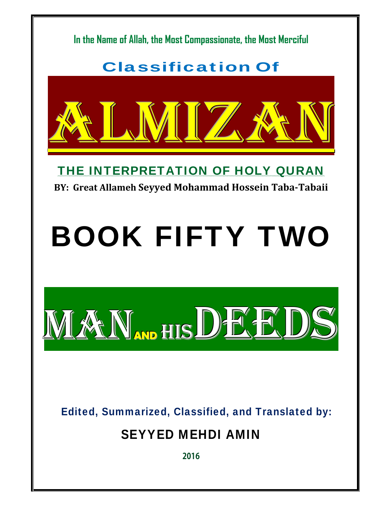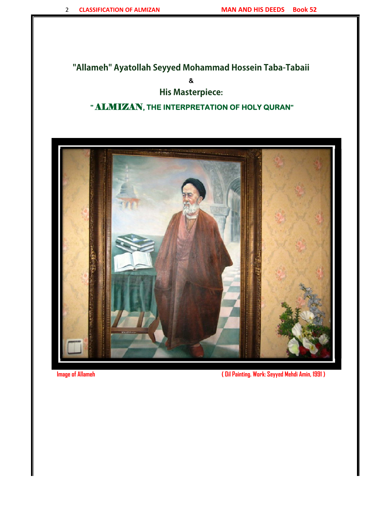### **"Allameh" Ayatollah Seyyed Mohammad Hossein Taba-Tabaii**

**&** 

### **His Masterpiece:**

### **"** ALMIZAN**, THE INTERPRETATION OF HOLY QURAN"**



**Image of Allameh ( Oil Painting. Work: Seyyed Mehdi Amin, 1991 )**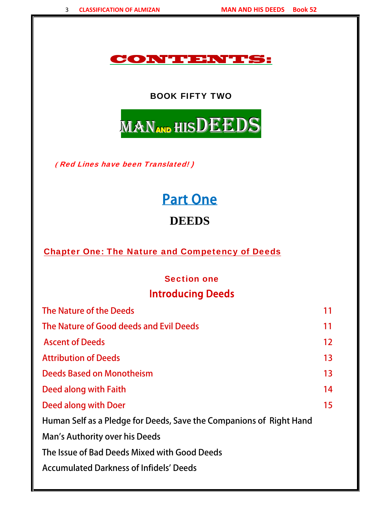### CONTENTS:

#### BOOK FIFTY TWO



 **(** Red Lines have been Translated! )

# Part One

# **DEEDS**

Chapter One: The Nature and Competency of Deeds

#### Section one

# Introducing Deeds

| The Nature of the Deeds                                             | 11                |
|---------------------------------------------------------------------|-------------------|
| The Nature of Good deeds and Evil Deeds                             | 11                |
| <b>Ascent of Deeds</b>                                              | $12 \overline{ }$ |
| <b>Attribution of Deeds</b>                                         | 13                |
| Deeds Based on Monotheism                                           | 13                |
| Deed along with Faith                                               | 14                |
| Deed along with Doer                                                | 15                |
| Human Self as a Pledge for Deeds, Save the Companions of Right Hand |                   |
| Man's Authority over his Deeds                                      |                   |
| The Issue of Bad Deeds Mixed with Good Deeds                        |                   |
| <b>Accumulated Darkness of Infidels' Deeds</b>                      |                   |
|                                                                     |                   |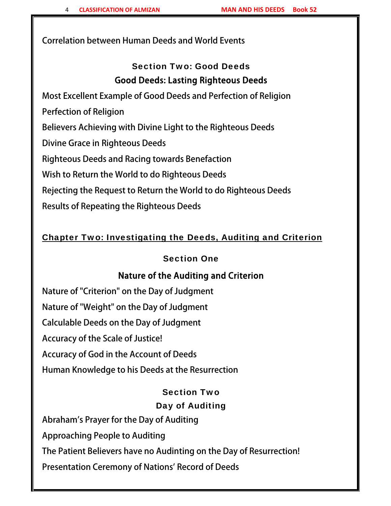Correlation between Human Deeds and World Events

# Section Two: Good Deeds Good Deeds: Lasting Righteous Deeds

Most Excellent Example of Good Deeds and Perfection of Religion

Perfection of Religion

Believers Achieving with Divine Light to the Righteous Deeds

Divine Grace in Righteous Deeds

Righteous Deeds and Racing towards Benefaction

Wish to Return the World to do Righteous Deeds

Rejecting the Request to Return the World to do Righteous Deeds

Results of Repeating the Righteous Deeds

#### Chapter Two: Investigating the Deeds, Auditing and Criterion

#### Section One

#### Nature of the Auditing and Criterion

Nature of "Criterion" on the Day of Judgment Nature of "Weight" on the Day of Judgment Calculable Deeds on the Day of Judgment Accuracy of the Scale of Justice! Accuracy of God in the Account of Deeds Human Knowledge to his Deeds at the Resurrection

#### Section Two

#### Day of Auditing

Abraham's Prayer for the Day of Auditing Approaching People to Auditing The Patient Believers have no Audinting on the Day of Resurrection! Presentation Ceremony of Nations' Record of Deeds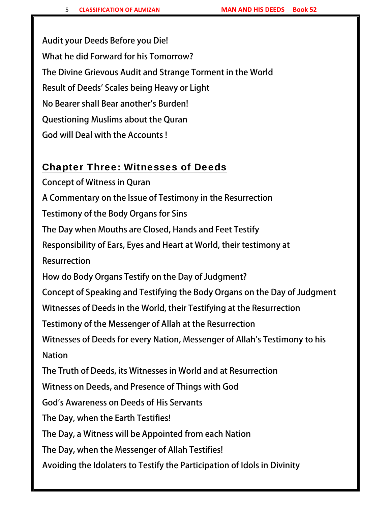Audit your Deeds Before you Die! What he did Forward for his Tomorrow? The Divine Grievous Audit and Strange Torment in the World Result of Deeds' Scales being Heavy or Light No Bearer shall Bear another's Burden! Questioning Muslims about the Quran God will Deal with the Accounts !

### Chapter Three: Witnesses of Deeds

Concept of Witness in Quran A Commentary on the Issue of Testimony in the Resurrection Testimony of the Body Organs for Sins The Day when Mouths are Closed, Hands and Feet Testify Responsibility of Ears, Eyes and Heart at World, their testimony at Resurrection How do Body Organs Testify on the Day of Judgment? Concept of Speaking and Testifying the Body Organs on the Day of Judgment Witnesses of Deeds in the World, their Testifying at the Resurrection Testimony of the Messenger of Allah at the Resurrection Witnesses of Deeds for every Nation, Messenger of Allah's Testimony to his Nation The Truth of Deeds, its Witnesses in World and at Resurrection Witness on Deeds, and Presence of Things with God God's Awareness on Deeds of His Servants The Day, when the Earth Testifies! The Day, a Witness will be Appointed from each Nation The Day, when the Messenger of Allah Testifies! Avoiding the Idolaters to Testify the Participation of Idols in Divinity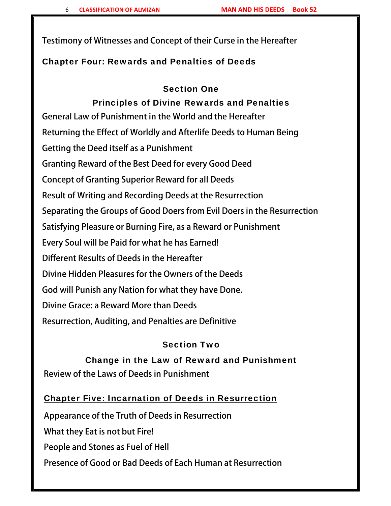Testimony of Witnesses and Concept of their Curse in the Hereafter

#### Chapter Four: Rewards and Penalties of Deeds

#### Section One

# Principles of Divine Rewards and Penalties

General Law of Punishment in the World and the Hereafter Returning the Effect of Worldly and Afterlife Deeds to Human Being Getting the Deed itself as a Punishment Granting Reward of the Best Deed for every Good Deed Concept of Granting Superior Reward for all Deeds Result of Writing and Recording Deeds at the Resurrection Separating the Groups of Good Doers from Evil Doers in the Resurrection Satisfying Pleasure or Burning Fire, as a Reward or Punishment Every Soul will be Paid for what he has Earned! Different Results of Deeds in the Hereafter Divine Hidden Pleasures for the Owners of the Deeds God will Punish any Nation for what they have Done. Divine Grace: a Reward More than Deeds Resurrection, Auditing, and Penalties are Definitive

#### Section Two

# Change in the Law of Reward and Punishment Review of the Laws of Deeds in Punishment

#### Chapter Five: Incarnation of Deeds in Resurrection

Appearance of the Truth of Deeds in Resurrection What they Eat is not but Fire! People and Stones as Fuel of Hell Presence of Good or Bad Deeds of Each Human at Resurrection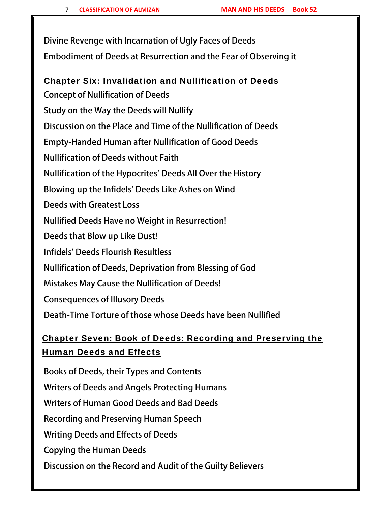Divine Revenge with Incarnation of Ugly Faces of Deeds Embodiment of Deeds at Resurrection and the Fear of Observing it

#### Chapter Six: Invalidation and Nullification of Deeds

Concept of Nullification of Deeds Study on the Way the Deeds will Nullify Discussion on the Place and Time of the Nullification of Deeds Empty-Handed Human after Nullification of Good Deeds Nullification of Deeds without Faith Nullification of the Hypocrites' Deeds All Over the History Blowing up the Infidels' Deeds Like Ashes on Wind Deeds with Greatest Loss Nullified Deeds Have no Weight in Resurrection! Deeds that Blow up Like Dust! Infidels' Deeds Flourish Resultless Nullification of Deeds, Deprivation from Blessing of God Mistakes May Cause the Nullification of Deeds! Consequences of Illusory Deeds Death-Time Torture of those whose Deeds have been Nullified

# Chapter Seven: Book of Deeds: Recording and Preserving the Human Deeds and Effects

Books of Deeds, their Types and Contents Writers of Deeds and Angels Protecting Humans Writers of Human Good Deeds and Bad Deeds Recording and Preserving Human Speech Writing Deeds and Effects of Deeds Copying the Human Deeds Discussion on the Record and Audit of the Guilty Believers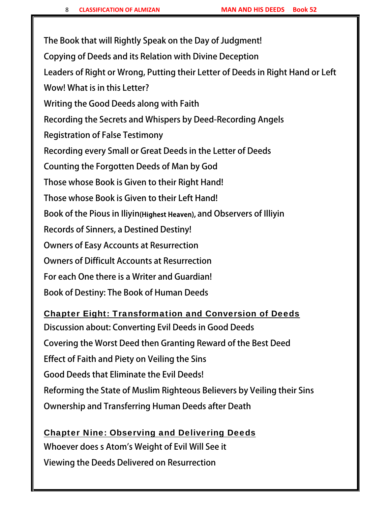The Book that will Rightly Speak on the Day of Judgment! Copying of Deeds and its Relation with Divine Deception Leaders of Right or Wrong, Putting their Letter of Deeds in Right Hand or Left Wow! What is in this Letter? Writing the Good Deeds along with Faith Recording the Secrets and Whispers by Deed-Recording Angels Registration of False Testimony Recording every Small or Great Deeds in the Letter of Deeds Counting the Forgotten Deeds of Man by God Those whose Book is Given to their Right Hand! Those whose Book is Given to their Left Hand! Book of the Pious in Iliyin(Highest Heaven), and Observers of Illiyin Records of Sinners, a Destined Destiny! Owners of Easy Accounts at Resurrection Owners of Difficult Accounts at Resurrection For each One there is a Writer and Guardian! Book of Destiny: The Book of Human Deeds

#### Chapter Eight: Transformation and Conversion of Deeds

Discussion about: Converting Evil Deeds in Good Deeds Covering the Worst Deed then Granting Reward of the Best Deed Effect of Faith and Piety on Veiling the Sins Good Deeds that Eliminate the Evil Deeds! Reforming the State of Muslim Righteous Believers by Veiling their Sins Ownership and Transferring Human Deeds after Death

Chapter Nine: Observing and Delivering Deeds Whoever does s Atom's Weight of Evil Will See it Viewing the Deeds Delivered on Resurrection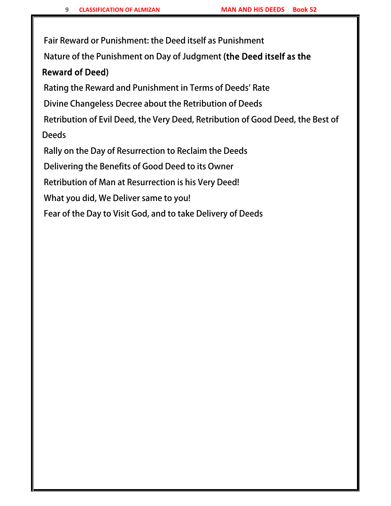Fair Reward or Punishment: the Deed itself as Punishment

Nature of the Punishment on Day of Judgment (the Deed itself as the

#### Reward of Deed)

Rating the Reward and Punishment in Terms of Deeds' Rate

Divine Changeless Decree about the Retribution of Deeds

Retribution of Evil Deed, the Very Deed, Retribution of Good Deed, the Best of Deeds

Rally on the Day of Resurrection to Reclaim the Deeds

Delivering the Benefits of Good Deed to its Owner

Retribution of Man at Resurrection is his Very Deed!

What you did, We Deliver same to you!

Fear of the Day to Visit God, and to take Delivery of Deeds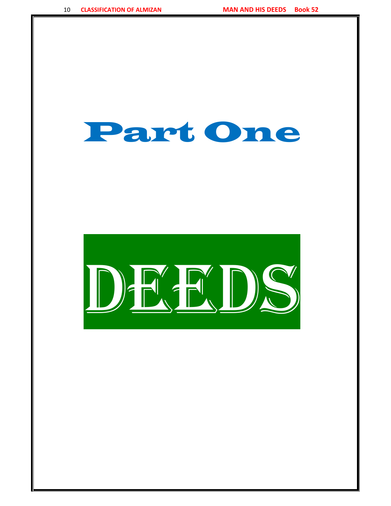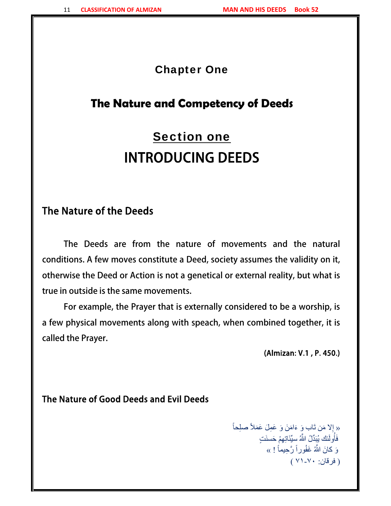#### Chapter One

# **The Nature and Competency of Deeds**

# Section one INTRODUCING DEEDS

# The Nature of the Deeds

The Deeds are from the nature of movements and the natural conditions. A few moves constitute a Deed, society assumes the validity on it, otherwise the Deed or Action is not a genetical or external reality, but what is true in outside is the same movements.

For example, the Prayer that is externally considered to be a worship, is a few physical movements along with speach, when combined together, it is called the Prayer.

(Almizan: V.1 , P. 450.)

#### The Nature of Good Deeds and Evil Deeds

« إِلا مَن تَاب وَ ءَامَنَ وَ عَمِلَ عَمَلاً صلِحاً فَأُولَئك يُبَدِّلُ اللَّهُ سيِّئَاتِهِمْ حَسنَتٍ ֧֖֖֖֖֖֖֖֖֧֚֚֚֚֚֚֚֚֚֚֚֚֚֚֚֝֟֟֓֕֝<u>֚</u><br>֧֪֚֚֝ وَ كانَ اللَّهُ غَفُوراً رَّحِيماً ! » ( فرقان: ٧١-٧٠ )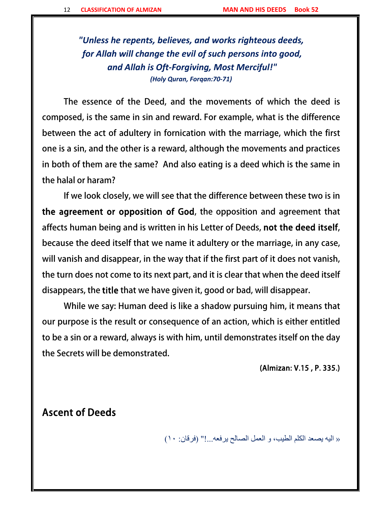*"Unless he repents, believes, and works righteous deeds, for Allah will change the evil of such persons into good, and Allah is Oft‐Forgiving, Most Merciful!" (Holy Quran, Forqan:70‐71)*

The essence of the Deed, and the movements of which the deed is composed, is the same in sin and reward. For example, what is the difference between the act of adultery in fornication with the marriage, which the first one is a sin, and the other is a reward, although the movements and practices in both of them are the same? And also eating is a deed which is the same in the halal or haram?

If we look closely, we will see that the difference between these two is in the agreement or opposition of God, the opposition and agreement that affects human being and is written in his Letter of Deeds, not the deed itself, because the deed itself that we name it adultery or the marriage, in any case, will vanish and disappear, in the way that if the first part of it does not vanish, the turn does not come to its next part, and it is clear that when the deed itself disappears, the title that we have given it, good or bad, will disappear.

While we say: Human deed is like a shadow pursuing him, it means that our purpose is the result or consequence of an action, which is either entitled to be a sin or a reward, always is with him, until demonstrates itself on the day the Secrets will be demonstrated.

(Almizan: V.15 , P. 335.)

Ascent of Deeds

« اليه يصعد الكلم الطيب، و العمل الصالح يرفعه...!" (فرقان: ١٠)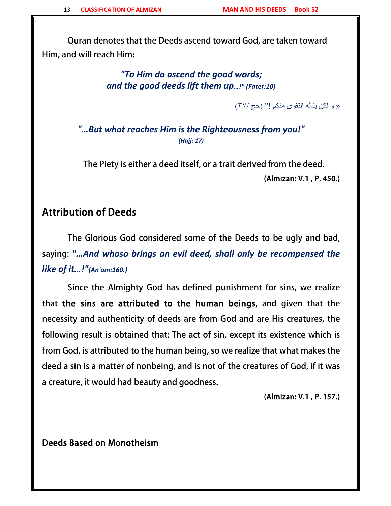Quran denotes that the Deeds ascend toward God, are taken toward Him, and will reach Him**:**

> *"To Him do ascend the good words; and the good deeds lift them up…!" (Fater:10)*

> > « و لكن يناله التقوى منكم !" (حج ٣٧/)

*"…But what reaches Him is the Righteousness from you!" (Hajj: 17)*

 The Piety is either a deed itself, or a trait derived from the deed. (Almizan: V.1 , P. 450.)

#### Attribution of Deeds

 The Glorious God considered some of the Deeds to be ugly and bad, saying: *"…And whoso brings an evil deed, shall only be recompensed the like of it…!"(An'am:160.)*

 Since the Almighty God has defined punishment for sins, we realize that the sins are attributed to the human beings, and given that the necessity and authenticity of deeds are from God and are His creatures, the following result is obtained that: The act of sin, except its existence which is from God, is attributed to the human being, so we realize that what makes the deed a sin is a matter of nonbeing, and is not of the creatures of God, if it was a creature, it would had beauty and goodness.

(Almizan: V.1 , P. 157.)

Deeds Based on Monotheism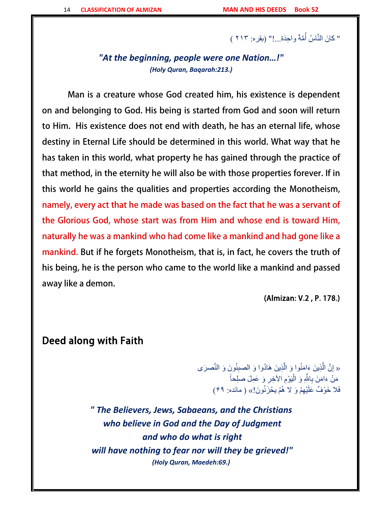#### ً " كَانَ النَّاسُ أُمَّةً واحِدَة...!" (بقره: ٢١٣ )<br>"

*"At the beginning, people were one Nation…!" (Holy Quran, Baqarah:213.)*

 Man is a creature whose God created him, his existence is dependent on and belonging to God. His being is started from God and soon will return to Him. His existence does not end with death, he has an eternal life, whose destiny in Eternal Life should be determined in this world. What way that he has taken in this world, what property he has gained through the practice of that method, in the eternity he will also be with those properties forever. If in this world he gains the qualities and properties according the Monotheism, namely, every act that he made was based on the fact that he was a servant of the Glorious God, whose start was from Him and whose end is toward Him, naturally he was a mankind who had come like a mankind and had gone like a mankind. But if he forgets Monotheism, that is, in fact, he covers the truth of his being, he is the person who came to the world like a mankind and passed away like a demon.

(Almizan: V.2 , P. 178.)

#### Deed along with Faith

َّ« إِنَّ الَّذِينَ ءَاِمَنُوا وَ الَّذِينَ هَادُوا وَ الصبِئُونَ وَ النَّصرَى َّ َّ ֧֖֖֖֖֖֖֖֖֧֚֚֚֚֚֚֚֚֚֚֚֚֚֚֚֚֝֟֟֓֕<u>֓</u><br>֧֪֧֝֩ مَنْ ءَامَنَ بِاللَّهِ وَ الْيَوْمِ الأخِرِ وَ عَمِلَ صلِحاً فَلا خَوْفٌ عَلَيْهِمْ وَ لا هُمْ يحْزَنُونَ!» ( مائده: ۶۹)

*" The Believers, Jews, Sabaeans, and the Christians who believe in God and the Day of Judgment and who do what is right will have nothing to fear nor will they be grieved!" (Holy Quran, Maedeh:69.)*